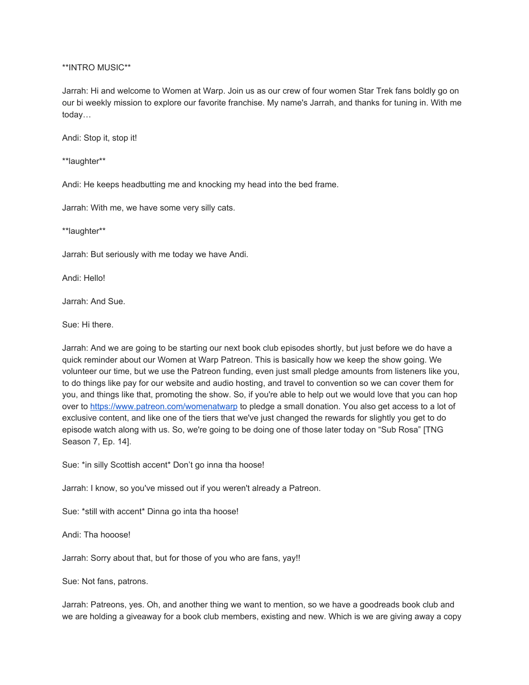\*\*INTRO MUSIC\*\*

Jarrah: Hi and welcome to Women at Warp. Join us as our crew of four women Star Trek fans boldly go on our bi weekly mission to explore our favorite franchise. My name's Jarrah, and thanks for tuning in. With me today…

Andi: Stop it, stop it!

\*\*laughter\*\*

Andi: He keeps headbutting me and knocking my head into the bed frame.

Jarrah: With me, we have some very silly cats.

\*\*laughter\*\*

Jarrah: But seriously with me today we have Andi.

Andi: Hello!

Jarrah: And Sue.

Sue: Hi there.

Jarrah: And we are going to be starting our next book club episodes shortly, but just before we do have a quick reminder about our Women at Warp Patreon. This is basically how we keep the show going. We volunteer our time, but we use the Patreon funding, even just small pledge amounts from listeners like you, to do things like pay for our website and audio hosting, and travel to convention so we can cover them for you, and things like that, promoting the show. So, if you're able to help out we would love that you can hop over to<https://www.patreon.com/womenatwarp> to pledge a small donation. You also get access to a lot of exclusive content, and like one of the tiers that we've just changed the rewards for slightly you get to do episode watch along with us. So, we're going to be doing one of those later today on "Sub Rosa" [TNG Season 7, Ep. 14].

Sue: \*in silly Scottish accent\* Don't go inna tha hoose!

Jarrah: I know, so you've missed out if you weren't already a Patreon.

Sue: \*still with accent\* Dinna go inta tha hoose!

Andi: Tha hooose!

Jarrah: Sorry about that, but for those of you who are fans, yay!!

Sue: Not fans, patrons.

Jarrah: Patreons, yes. Oh, and another thing we want to mention, so we have a goodreads book club and we are holding a giveaway for a book club members, existing and new. Which is we are giving away a copy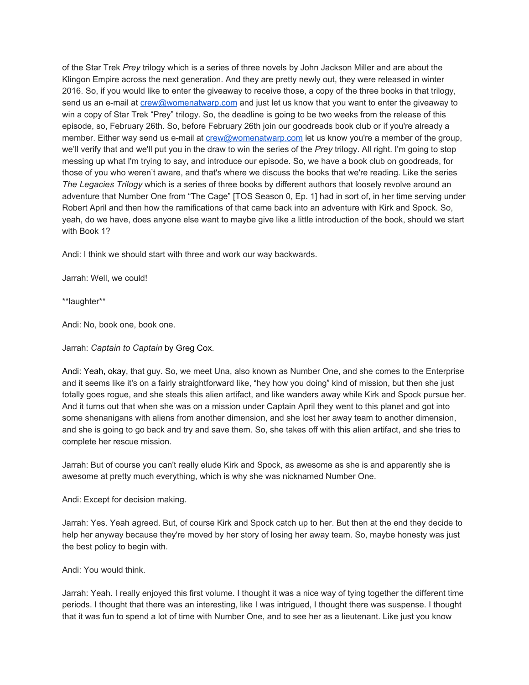of the Star Trek *Prey* trilogy which is a series of three novels by John Jackson Miller and are about the Klingon Empire across the next generation. And they are pretty newly out, they were released in winter 2016. So, if you would like to enter the giveaway to receive those, a copy of the three books in that trilogy, send us an e-mail at [crew@womenatwarp.com](mailto:crew@womenatwarp.com) and just let us know that you want to enter the giveaway to win a copy of Star Trek "Prey" trilogy. So, the deadline is going to be two weeks from the release of this episode, so, February 26th. So, before February 26th join our goodreads book club or if you're already a member. Either way send us e-mail at [crew@womenatwarp.com](mailto:crew@womenatwarp.com) let us know you're a member of the group, we'll verify that and we'll put you in the draw to win the series of the *Prey* trilogy. All right. I'm going to stop messing up what I'm trying to say, and introduce our episode. So, we have a book club on goodreads, for those of you who weren't aware, and that's where we discuss the books that we're reading. Like the series *The Legacies Trilogy* which is a series of three books by different authors that loosely revolve around an adventure that Number One from "The Cage" [TOS Season 0, Ep. 1] had in sort of, in her time serving under Robert April and then how the ramifications of that came back into an adventure with Kirk and Spock. So, yeah, do we have, does anyone else want to maybe give like a little introduction of the book, should we start with Book 1?

Andi: I think we should start with three and work our way backwards.

Jarrah: Well, we could!

\*\*laughter\*\*

Andi: No, book one, book one.

Jarrah: *Captain to Captain* by Greg Cox.

Andi: Yeah, okay, that guy. So, we meet Una, also known as Number One, and she comes to the Enterprise and it seems like it's on a fairly straightforward like, "hey how you doing" kind of mission, but then she just totally goes rogue, and she steals this alien artifact, and like wanders away while Kirk and Spock pursue her. And it turns out that when she was on a mission under Captain April they went to this planet and got into some shenanigans with aliens from another dimension, and she lost her away team to another dimension, and she is going to go back and try and save them. So, she takes off with this alien artifact, and she tries to complete her rescue mission.

Jarrah: But of course you can't really elude Kirk and Spock, as awesome as she is and apparently she is awesome at pretty much everything, which is why she was nicknamed Number One.

Andi: Except for decision making.

Jarrah: Yes. Yeah agreed. But, of course Kirk and Spock catch up to her. But then at the end they decide to help her anyway because they're moved by her story of losing her away team. So, maybe honesty was just the best policy to begin with.

Andi: You would think.

Jarrah: Yeah. I really enjoyed this first volume. I thought it was a nice way of tying together the different time periods. I thought that there was an interesting, like I was intrigued, I thought there was suspense. I thought that it was fun to spend a lot of time with Number One, and to see her as a lieutenant. Like just you know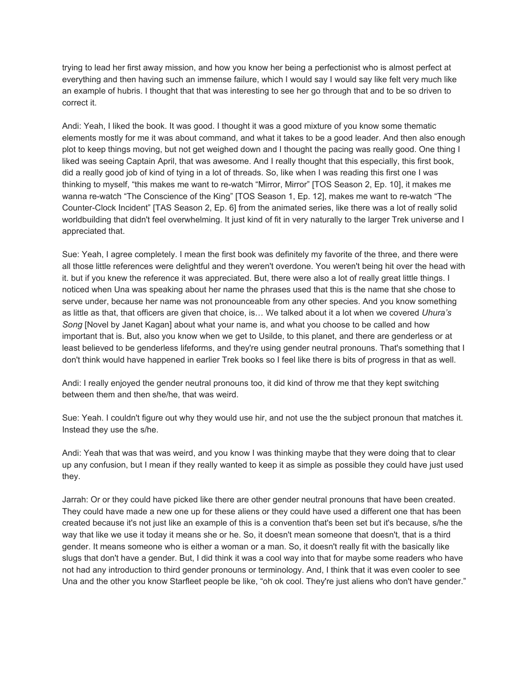trying to lead her first away mission, and how you know her being a perfectionist who is almost perfect at everything and then having such an immense failure, which I would say I would say like felt very much like an example of hubris. I thought that that was interesting to see her go through that and to be so driven to correct it.

Andi: Yeah, I liked the book. It was good. I thought it was a good mixture of you know some thematic elements mostly for me it was about command, and what it takes to be a good leader. And then also enough plot to keep things moving, but not get weighed down and I thought the pacing was really good. One thing I liked was seeing Captain April, that was awesome. And I really thought that this especially, this first book, did a really good job of kind of tying in a lot of threads. So, like when I was reading this first one I was thinking to myself, "this makes me want to re-watch "Mirror, Mirror" [TOS Season 2, Ep. 10], it makes me wanna re-watch "The Conscience of the King" [TOS Season 1, Ep. 12], makes me want to re-watch "The Counter-Clock Incident" [TAS Season 2, Ep. 6] from the animated series, like there was a lot of really solid worldbuilding that didn't feel overwhelming. It just kind of fit in very naturally to the larger Trek universe and I appreciated that.

Sue: Yeah, I agree completely. I mean the first book was definitely my favorite of the three, and there were all those little references were delightful and they weren't overdone. You weren't being hit over the head with it. but if you knew the reference it was appreciated. But, there were also a lot of really great little things. I noticed when Una was speaking about her name the phrases used that this is the name that she chose to serve under, because her name was not pronounceable from any other species. And you know something as little as that, that officers are given that choice, is… We talked about it a lot when we covered *Uhura's Song* [Novel by Janet Kagan] about what your name is, and what you choose to be called and how important that is. But, also you know when we get to Usilde, to this planet, and there are genderless or at least believed to be genderless lifeforms, and they're using gender neutral pronouns. That's something that I don't think would have happened in earlier Trek books so I feel like there is bits of progress in that as well.

Andi: I really enjoyed the gender neutral pronouns too, it did kind of throw me that they kept switching between them and then she/he, that was weird.

Sue: Yeah. I couldn't figure out why they would use hir, and not use the the subject pronoun that matches it. Instead they use the s/he.

Andi: Yeah that was that was weird, and you know I was thinking maybe that they were doing that to clear up any confusion, but I mean if they really wanted to keep it as simple as possible they could have just used they.

Jarrah: Or or they could have picked like there are other gender neutral pronouns that have been created. They could have made a new one up for these aliens or they could have used a different one that has been created because it's not just like an example of this is a convention that's been set but it's because, s/he the way that like we use it today it means she or he. So, it doesn't mean someone that doesn't, that is a third gender. It means someone who is either a woman or a man. So, it doesn't really fit with the basically like slugs that don't have a gender. But, I did think it was a cool way into that for maybe some readers who have not had any introduction to third gender pronouns or terminology. And, I think that it was even cooler to see Una and the other you know Starfleet people be like, "oh ok cool. They're just aliens who don't have gender."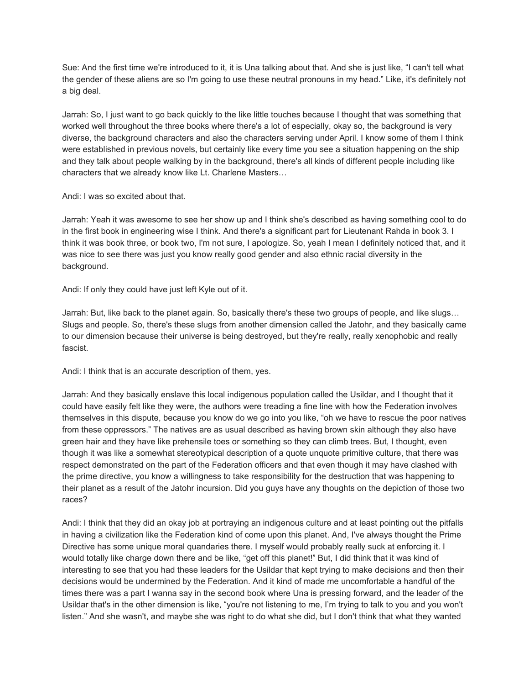Sue: And the first time we're introduced to it, it is Una talking about that. And she is just like, "I can't tell what the gender of these aliens are so I'm going to use these neutral pronouns in my head." Like, it's definitely not a big deal.

Jarrah: So, I just want to go back quickly to the like little touches because I thought that was something that worked well throughout the three books where there's a lot of especially, okay so, the background is very diverse, the background characters and also the characters serving under April. I know some of them I think were established in previous novels, but certainly like every time you see a situation happening on the ship and they talk about people walking by in the background, there's all kinds of different people including like characters that we already know like Lt. Charlene Masters…

### Andi: I was so excited about that.

Jarrah: Yeah it was awesome to see her show up and I think she's described as having something cool to do in the first book in engineering wise I think. And there's a significant part for Lieutenant Rahda in book 3. I think it was book three, or book two, I'm not sure, I apologize. So, yeah I mean I definitely noticed that, and it was nice to see there was just you know really good gender and also ethnic racial diversity in the background.

Andi: If only they could have just left Kyle out of it.

Jarrah: But, like back to the planet again. So, basically there's these two groups of people, and like slugs… Slugs and people. So, there's these slugs from another dimension called the Jatohr, and they basically came to our dimension because their universe is being destroyed, but they're really, really xenophobic and really fascist.

Andi: I think that is an accurate description of them, yes.

Jarrah: And they basically enslave this local indigenous population called the Usildar, and I thought that it could have easily felt like they were, the authors were treading a fine line with how the Federation involves themselves in this dispute, because you know do we go into you like, "oh we have to rescue the poor natives from these oppressors." The natives are as usual described as having brown skin although they also have green hair and they have like prehensile toes or something so they can climb trees. But, I thought, even though it was like a somewhat stereotypical description of a quote unquote primitive culture, that there was respect demonstrated on the part of the Federation officers and that even though it may have clashed with the prime directive, you know a willingness to take responsibility for the destruction that was happening to their planet as a result of the Jatohr incursion. Did you guys have any thoughts on the depiction of those two races?

Andi: I think that they did an okay job at portraying an indigenous culture and at least pointing out the pitfalls in having a civilization like the Federation kind of come upon this planet. And, I've always thought the Prime Directive has some unique moral quandaries there. I myself would probably really suck at enforcing it. I would totally like charge down there and be like, "get off this planet!" But, I did think that it was kind of interesting to see that you had these leaders for the Usildar that kept trying to make decisions and then their decisions would be undermined by the Federation. And it kind of made me uncomfortable a handful of the times there was a part I wanna say in the second book where Una is pressing forward, and the leader of the Usildar that's in the other dimension is like, "you're not listening to me, I'm trying to talk to you and you won't listen." And she wasn't, and maybe she was right to do what she did, but I don't think that what they wanted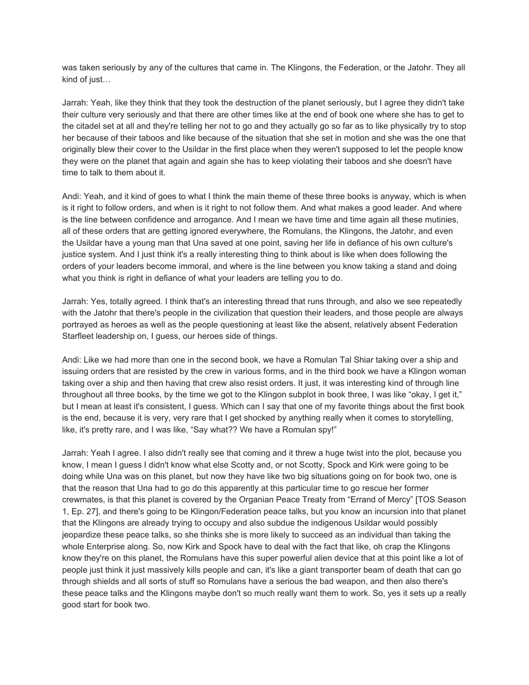was taken seriously by any of the cultures that came in. The Klingons, the Federation, or the Jatohr. They all kind of just…

Jarrah: Yeah, like they think that they took the destruction of the planet seriously, but I agree they didn't take their culture very seriously and that there are other times like at the end of book one where she has to get to the citadel set at all and they're telling her not to go and they actually go so far as to like physically try to stop her because of their taboos and like because of the situation that she set in motion and she was the one that originally blew their cover to the Usildar in the first place when they weren't supposed to let the people know they were on the planet that again and again she has to keep violating their taboos and she doesn't have time to talk to them about it.

Andi: Yeah, and it kind of goes to what I think the main theme of these three books is anyway, which is when is it right to follow orders, and when is it right to not follow them. And what makes a good leader. And where is the line between confidence and arrogance. And I mean we have time and time again all these mutinies, all of these orders that are getting ignored everywhere, the Romulans, the Klingons, the Jatohr, and even the Usildar have a young man that Una saved at one point, saving her life in defiance of his own culture's justice system. And I just think it's a really interesting thing to think about is like when does following the orders of your leaders become immoral, and where is the line between you know taking a stand and doing what you think is right in defiance of what your leaders are telling you to do.

Jarrah: Yes, totally agreed. I think that's an interesting thread that runs through, and also we see repeatedly with the Jatohr that there's people in the civilization that question their leaders, and those people are always portrayed as heroes as well as the people questioning at least like the absent, relatively absent Federation Starfleet leadership on, I guess, our heroes side of things.

Andi: Like we had more than one in the second book, we have a Romulan Tal Shiar taking over a ship and issuing orders that are resisted by the crew in various forms, and in the third book we have a Klingon woman taking over a ship and then having that crew also resist orders. It just, it was interesting kind of through line throughout all three books, by the time we got to the Klingon subplot in book three, I was like "okay, I get it," but I mean at least it's consistent, I guess. Which can I say that one of my favorite things about the first book is the end, because it is very, very rare that I get shocked by anything really when it comes to storytelling, like, it's pretty rare, and I was like, "Say what?? We have a Romulan spy!"

Jarrah: Yeah I agree. I also didn't really see that coming and it threw a huge twist into the plot, because you know, I mean I guess I didn't know what else Scotty and, or not Scotty, Spock and Kirk were going to be doing while Una was on this planet, but now they have like two big situations going on for book two, one is that the reason that Una had to go do this apparently at this particular time to go rescue her former crewmates, is that this planet is covered by the Organian Peace Treaty from "Errand of Mercy" [TOS Season 1, Ep. 27], and there's going to be Klingon/Federation peace talks, but you know an incursion into that planet that the Klingons are already trying to occupy and also subdue the indigenous Usildar would possibly jeopardize these peace talks, so she thinks she is more likely to succeed as an individual than taking the whole Enterprise along. So, now Kirk and Spock have to deal with the fact that like, oh crap the Klingons know they're on this planet, the Romulans have this super powerful alien device that at this point like a lot of people just think it just massively kills people and can, it's like a giant transporter beam of death that can go through shields and all sorts of stuff so Romulans have a serious the bad weapon, and then also there's these peace talks and the Klingons maybe don't so much really want them to work. So, yes it sets up a really good start for book two.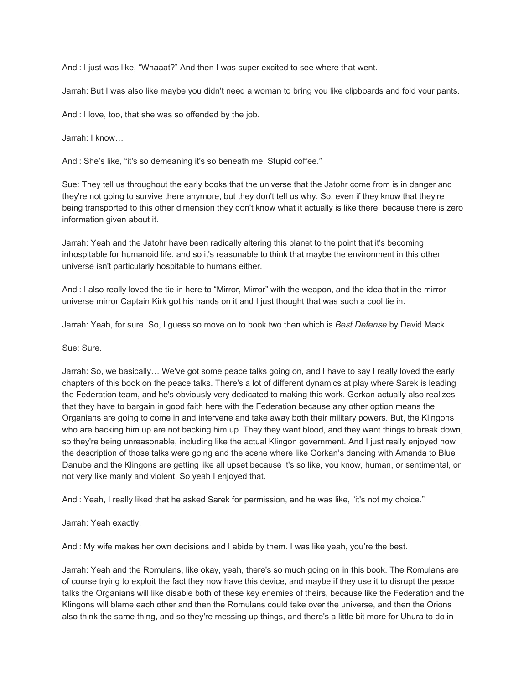Andi: I just was like, "Whaaat?" And then I was super excited to see where that went.

Jarrah: But I was also like maybe you didn't need a woman to bring you like clipboards and fold your pants.

Andi: I love, too, that she was so offended by the job.

Jarrah: I know…

Andi: She's like, "it's so demeaning it's so beneath me. Stupid coffee."

Sue: They tell us throughout the early books that the universe that the Jatohr come from is in danger and they're not going to survive there anymore, but they don't tell us why. So, even if they know that they're being transported to this other dimension they don't know what it actually is like there, because there is zero information given about it.

Jarrah: Yeah and the Jatohr have been radically altering this planet to the point that it's becoming inhospitable for humanoid life, and so it's reasonable to think that maybe the environment in this other universe isn't particularly hospitable to humans either.

Andi: I also really loved the tie in here to "Mirror, Mirror" with the weapon, and the idea that in the mirror universe mirror Captain Kirk got his hands on it and I just thought that was such a cool tie in.

Jarrah: Yeah, for sure. So, I guess so move on to book two then which is *Best Defense* by David Mack.

Sue: Sure.

Jarrah: So, we basically… We've got some peace talks going on, and I have to say I really loved the early chapters of this book on the peace talks. There's a lot of different dynamics at play where Sarek is leading the Federation team, and he's obviously very dedicated to making this work. Gorkan actually also realizes that they have to bargain in good faith here with the Federation because any other option means the Organians are going to come in and intervene and take away both their military powers. But, the Klingons who are backing him up are not backing him up. They they want blood, and they want things to break down, so they're being unreasonable, including like the actual Klingon government. And I just really enjoyed how the description of those talks were going and the scene where like Gorkan's dancing with Amanda to Blue Danube and the Klingons are getting like all upset because it's so like, you know, human, or sentimental, or not very like manly and violent. So yeah I enjoyed that.

Andi: Yeah, I really liked that he asked Sarek for permission, and he was like, "it's not my choice."

Jarrah: Yeah exactly.

Andi: My wife makes her own decisions and I abide by them. I was like yeah, you're the best.

Jarrah: Yeah and the Romulans, like okay, yeah, there's so much going on in this book. The Romulans are of course trying to exploit the fact they now have this device, and maybe if they use it to disrupt the peace talks the Organians will like disable both of these key enemies of theirs, because like the Federation and the Klingons will blame each other and then the Romulans could take over the universe, and then the Orions also think the same thing, and so they're messing up things, and there's a little bit more for Uhura to do in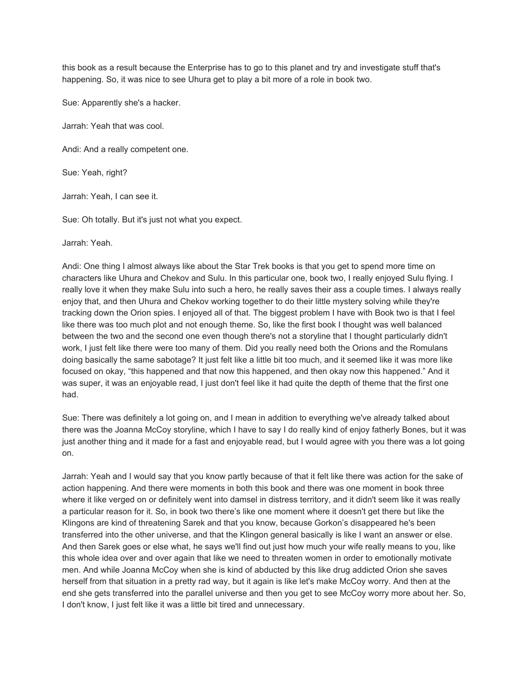this book as a result because the Enterprise has to go to this planet and try and investigate stuff that's happening. So, it was nice to see Uhura get to play a bit more of a role in book two.

Sue: Apparently she's a hacker.

Jarrah: Yeah that was cool.

Andi: And a really competent one.

Sue: Yeah, right?

Jarrah: Yeah, I can see it.

Sue: Oh totally. But it's just not what you expect.

Jarrah: Yeah.

Andi: One thing I almost always like about the Star Trek books is that you get to spend more time on characters like Uhura and Chekov and Sulu. In this particular one, book two, I really enjoyed Sulu flying. I really love it when they make Sulu into such a hero, he really saves their ass a couple times. I always really enjoy that, and then Uhura and Chekov working together to do their little mystery solving while they're tracking down the Orion spies. I enjoyed all of that. The biggest problem I have with Book two is that I feel like there was too much plot and not enough theme. So, like the first book I thought was well balanced between the two and the second one even though there's not a storyline that I thought particularly didn't work, I just felt like there were too many of them. Did you really need both the Orions and the Romulans doing basically the same sabotage? It just felt like a little bit too much, and it seemed like it was more like focused on okay, "this happened and that now this happened, and then okay now this happened." And it was super, it was an enjoyable read, I just don't feel like it had quite the depth of theme that the first one had.

Sue: There was definitely a lot going on, and I mean in addition to everything we've already talked about there was the Joanna McCoy storyline, which I have to say I do really kind of enjoy fatherly Bones, but it was just another thing and it made for a fast and enjoyable read, but I would agree with you there was a lot going on.

Jarrah: Yeah and I would say that you know partly because of that it felt like there was action for the sake of action happening. And there were moments in both this book and there was one moment in book three where it like verged on or definitely went into damsel in distress territory, and it didn't seem like it was really a particular reason for it. So, in book two there's like one moment where it doesn't get there but like the Klingons are kind of threatening Sarek and that you know, because Gorkon's disappeared he's been transferred into the other universe, and that the Klingon general basically is like I want an answer or else. And then Sarek goes or else what, he says we'll find out just how much your wife really means to you, like this whole idea over and over again that like we need to threaten women in order to emotionally motivate men. And while Joanna McCoy when she is kind of abducted by this like drug addicted Orion she saves herself from that situation in a pretty rad way, but it again is like let's make McCoy worry. And then at the end she gets transferred into the parallel universe and then you get to see McCoy worry more about her. So, I don't know, I just felt like it was a little bit tired and unnecessary.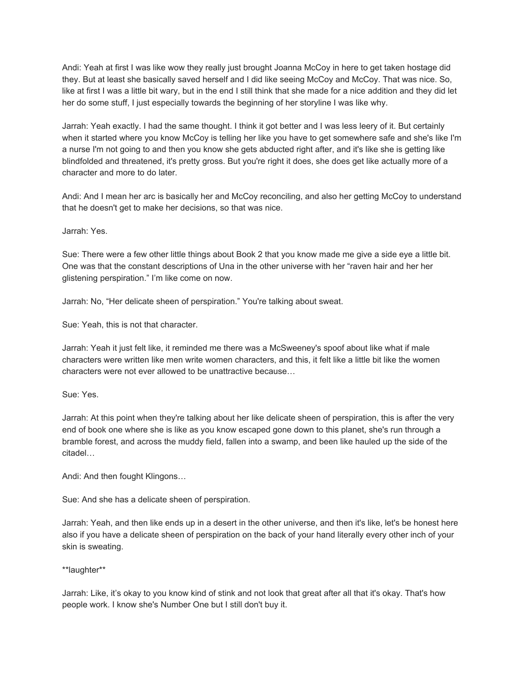Andi: Yeah at first I was like wow they really just brought Joanna McCoy in here to get taken hostage did they. But at least she basically saved herself and I did like seeing McCoy and McCoy. That was nice. So, like at first I was a little bit wary, but in the end I still think that she made for a nice addition and they did let her do some stuff, I just especially towards the beginning of her storyline I was like why.

Jarrah: Yeah exactly. I had the same thought. I think it got better and I was less leery of it. But certainly when it started where you know McCoy is telling her like you have to get somewhere safe and she's like I'm a nurse I'm not going to and then you know she gets abducted right after, and it's like she is getting like blindfolded and threatened, it's pretty gross. But you're right it does, she does get like actually more of a character and more to do later.

Andi: And I mean her arc is basically her and McCoy reconciling, and also her getting McCoy to understand that he doesn't get to make her decisions, so that was nice.

Jarrah: Yes.

Sue: There were a few other little things about Book 2 that you know made me give a side eye a little bit. One was that the constant descriptions of Una in the other universe with her "raven hair and her her glistening perspiration." I'm like come on now.

Jarrah: No, "Her delicate sheen of perspiration." You're talking about sweat.

Sue: Yeah, this is not that character.

Jarrah: Yeah it just felt like, it reminded me there was a McSweeney's spoof about like what if male characters were written like men write women characters, and this, it felt like a little bit like the women characters were not ever allowed to be unattractive because…

Sue: Yes.

Jarrah: At this point when they're talking about her like delicate sheen of perspiration, this is after the very end of book one where she is like as you know escaped gone down to this planet, she's run through a bramble forest, and across the muddy field, fallen into a swamp, and been like hauled up the side of the citadel…

Andi: And then fought Klingons…

Sue: And she has a delicate sheen of perspiration.

Jarrah: Yeah, and then like ends up in a desert in the other universe, and then it's like, let's be honest here also if you have a delicate sheen of perspiration on the back of your hand literally every other inch of your skin is sweating.

\*\*laughter\*\*

Jarrah: Like, it's okay to you know kind of stink and not look that great after all that it's okay. That's how people work. I know she's Number One but I still don't buy it.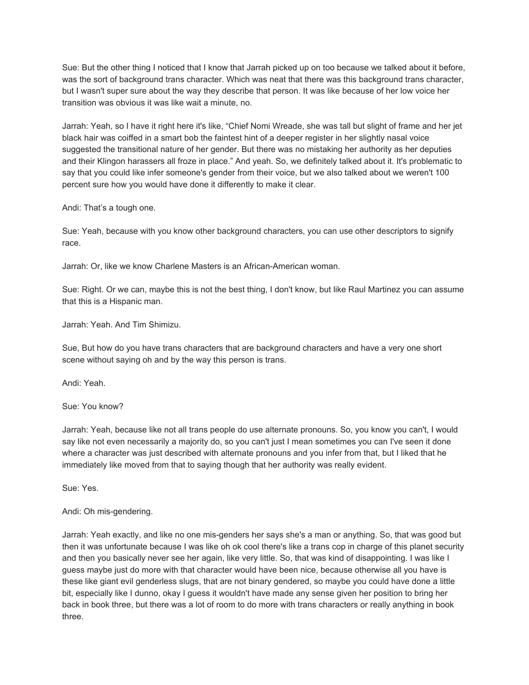Sue: But the other thing I noticed that I know that Jarrah picked up on too because we talked about it before, was the sort of background trans character. Which was neat that there was this background trans character, but I wasn't super sure about the way they describe that person. It was like because of her low voice her transition was obvious it was like wait a minute, no.

Jarrah: Yeah, so I have it right here it's like, "Chief Nomi Wreade, she was tall but slight of frame and her jet black hair was coiffed in a smart bob the faintest hint of a deeper register in her slightly nasal voice suggested the transitional nature of her gender. But there was no mistaking her authority as her deputies and their Klingon harassers all froze in place." And yeah. So, we definitely talked about it. It's problematic to say that you could like infer someone's gender from their voice, but we also talked about we weren't 100 percent sure how you would have done it differently to make it clear.

Andi: That's a tough one.

Sue: Yeah, because with you know other background characters, you can use other descriptors to signify race.

Jarrah: Or, like we know Charlene Masters is an African-American woman.

Sue: Right. Or we can, maybe this is not the best thing, I don't know, but like Raul Martinez you can assume that this is a Hispanic man.

Jarrah: Yeah. And Tim Shimizu.

Sue, But how do you have trans characters that are background characters and have a very one short scene without saying oh and by the way this person is trans.

Andi: Yeah.

Sue: You know?

Jarrah: Yeah, because like not all trans people do use alternate pronouns. So, you know you can't, I would say like not even necessarily a majority do, so you can't just I mean sometimes you can I've seen it done where a character was just described with alternate pronouns and you infer from that, but I liked that he immediately like moved from that to saying though that her authority was really evident.

Sue: Yes.

# Andi: Oh mis-gendering.

Jarrah: Yeah exactly, and like no one mis-genders her says she's a man or anything. So, that was good but then it was unfortunate because I was like oh ok cool there's like a trans cop in charge of this planet security and then you basically never see her again, like very little. So, that was kind of disappointing. I was like I guess maybe just do more with that character would have been nice, because otherwise all you have is these like giant evil genderless slugs, that are not binary gendered, so maybe you could have done a little bit, especially like I dunno, okay I guess it wouldn't have made any sense given her position to bring her back in book three, but there was a lot of room to do more with trans characters or really anything in book three.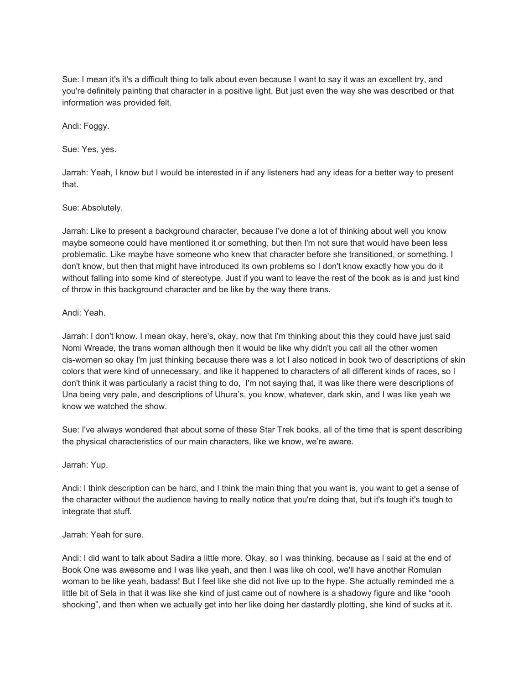Sue: I mean it's it's a difficult thing to talk about even because I want to say it was an excellent try, and you're definitely painting that character in a positive light. But just even the way she was described or that information was provided felt.

Andi: Foggy.

Sue: Yes, yes.

Jarrah: Yeah, I know but I would be interested in if any listeners had any ideas for a better way to present that.

## Sue: Absolutely.

Jarrah: Like to present a background character, because I've done a lot of thinking about well you know maybe someone could have mentioned it or something, but then I'm not sure that would have been less problematic. Like maybe have someone who knew that character before she transitioned, or something. I don't know, but then that might have introduced its own problems so I don't know exactly how you do it without falling into some kind of stereotype. Just if you want to leave the rest of the book as is and just kind of throw in this background character and be like by the way there trans.

## Andi: Yeah.

Jarrah: I don't know. I mean okay, here's, okay, now that I'm thinking about this they could have just said Nomi Wreade, the trans woman although then it would be like why didn't you call all the other women cis-women so okay I'm just thinking because there was a lot I also noticed in book two of descriptions of skin colors that were kind of unnecessary, and like it happened to characters of all different kinds of races, so I don't think it was particularly a racist thing to do, I'm not saying that, it was like there were descriptions of Una being very pale, and descriptions of Uhura's, you know, whatever, dark skin, and I was like yeah we know we watched the show.

Sue: I've always wondered that about some of these Star Trek books, all of the time that is spent describing the physical characteristics of our main characters, like we know, we're aware.

Jarrah: Yup.

Andi: I think description can be hard, and I think the main thing that you want is, you want to get a sense of the character without the audience having to really notice that you're doing that, but it's tough it's tough to integrate that stuff.

### Jarrah: Yeah for sure.

Andi: I did want to talk about Sadira a little more. Okay, so I was thinking, because as I said at the end of Book One was awesome and I was like yeah, and then I was like oh cool, we'll have another Romulan woman to be like yeah, badass! But I feel like she did not live up to the hype. She actually reminded me a little bit of Sela in that it was like she kind of just came out of nowhere is a shadowy figure and like "oooh shocking", and then when we actually get into her like doing her dastardly plotting, she kind of sucks at it.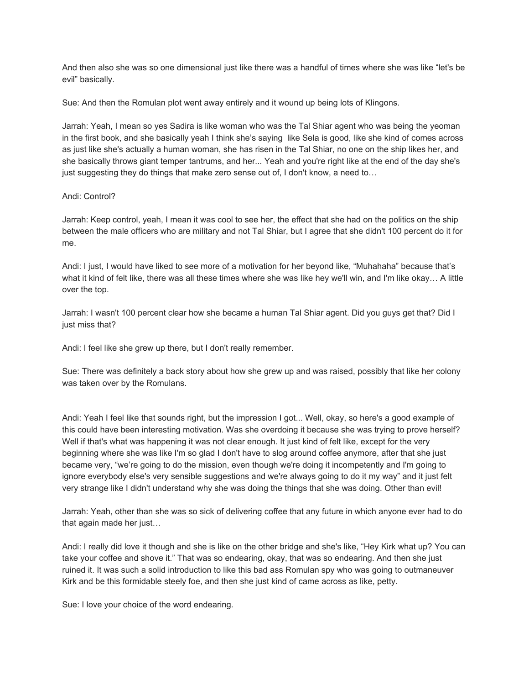And then also she was so one dimensional just like there was a handful of times where she was like "let's be evil" basically.

Sue: And then the Romulan plot went away entirely and it wound up being lots of Klingons.

Jarrah: Yeah, I mean so yes Sadira is like woman who was the Tal Shiar agent who was being the yeoman in the first book, and she basically yeah I think she's saying like Sela is good, like she kind of comes across as just like she's actually a human woman, she has risen in the Tal Shiar, no one on the ship likes her, and she basically throws giant temper tantrums, and her... Yeah and you're right like at the end of the day she's just suggesting they do things that make zero sense out of, I don't know, a need to…

### Andi: Control?

Jarrah: Keep control, yeah, I mean it was cool to see her, the effect that she had on the politics on the ship between the male officers who are military and not Tal Shiar, but I agree that she didn't 100 percent do it for me.

Andi: I just, I would have liked to see more of a motivation for her beyond like, "Muhahaha" because that's what it kind of felt like, there was all these times where she was like hey we'll win, and I'm like okay… A little over the top.

Jarrah: I wasn't 100 percent clear how she became a human Tal Shiar agent. Did you guys get that? Did I just miss that?

Andi: I feel like she grew up there, but I don't really remember.

Sue: There was definitely a back story about how she grew up and was raised, possibly that like her colony was taken over by the Romulans.

Andi: Yeah I feel like that sounds right, but the impression I got... Well, okay, so here's a good example of this could have been interesting motivation. Was she overdoing it because she was trying to prove herself? Well if that's what was happening it was not clear enough. It just kind of felt like, except for the very beginning where she was like I'm so glad I don't have to slog around coffee anymore, after that she just became very, "we're going to do the mission, even though we're doing it incompetently and I'm going to ignore everybody else's very sensible suggestions and we're always going to do it my way" and it just felt very strange like I didn't understand why she was doing the things that she was doing. Other than evil!

Jarrah: Yeah, other than she was so sick of delivering coffee that any future in which anyone ever had to do that again made her just…

Andi: I really did love it though and she is like on the other bridge and she's like, "Hey Kirk what up? You can take your coffee and shove it." That was so endearing, okay, that was so endearing. And then she just ruined it. It was such a solid introduction to like this bad ass Romulan spy who was going to outmaneuver Kirk and be this formidable steely foe, and then she just kind of came across as like, petty.

Sue: I love your choice of the word endearing.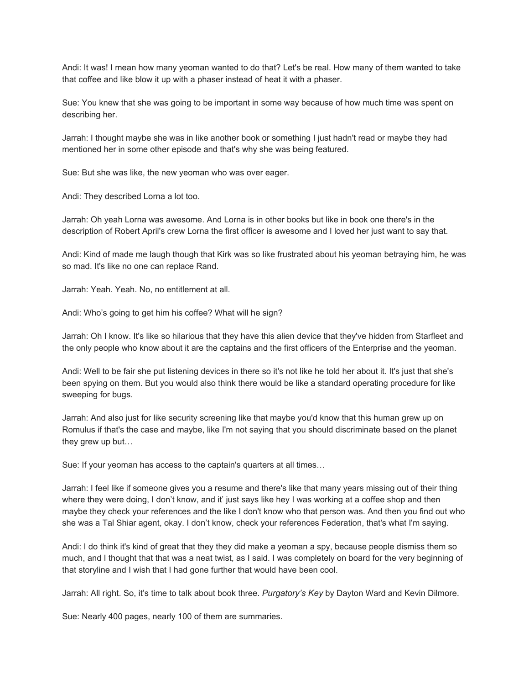Andi: It was! I mean how many yeoman wanted to do that? Let's be real. How many of them wanted to take that coffee and like blow it up with a phaser instead of heat it with a phaser.

Sue: You knew that she was going to be important in some way because of how much time was spent on describing her.

Jarrah: I thought maybe she was in like another book or something I just hadn't read or maybe they had mentioned her in some other episode and that's why she was being featured.

Sue: But she was like, the new yeoman who was over eager.

Andi: They described Lorna a lot too.

Jarrah: Oh yeah Lorna was awesome. And Lorna is in other books but like in book one there's in the description of Robert April's crew Lorna the first officer is awesome and I loved her just want to say that.

Andi: Kind of made me laugh though that Kirk was so like frustrated about his yeoman betraying him, he was so mad. It's like no one can replace Rand.

Jarrah: Yeah. Yeah. No, no entitlement at all.

Andi: Who's going to get him his coffee? What will he sign?

Jarrah: Oh I know. It's like so hilarious that they have this alien device that they've hidden from Starfleet and the only people who know about it are the captains and the first officers of the Enterprise and the yeoman.

Andi: Well to be fair she put listening devices in there so it's not like he told her about it. It's just that she's been spying on them. But you would also think there would be like a standard operating procedure for like sweeping for bugs.

Jarrah: And also just for like security screening like that maybe you'd know that this human grew up on Romulus if that's the case and maybe, like I'm not saying that you should discriminate based on the planet they grew up but…

Sue: If your yeoman has access to the captain's quarters at all times…

Jarrah: I feel like if someone gives you a resume and there's like that many years missing out of their thing where they were doing, I don't know, and it' just says like hey I was working at a coffee shop and then maybe they check your references and the like I don't know who that person was. And then you find out who she was a Tal Shiar agent, okay. I don't know, check your references Federation, that's what I'm saying.

Andi: I do think it's kind of great that they they did make a yeoman a spy, because people dismiss them so much, and I thought that that was a neat twist, as I said. I was completely on board for the very beginning of that storyline and I wish that I had gone further that would have been cool.

Jarrah: All right. So, it's time to talk about book three. *Purgatory's Key* by Dayton Ward and Kevin Dilmore.

Sue: Nearly 400 pages, nearly 100 of them are summaries.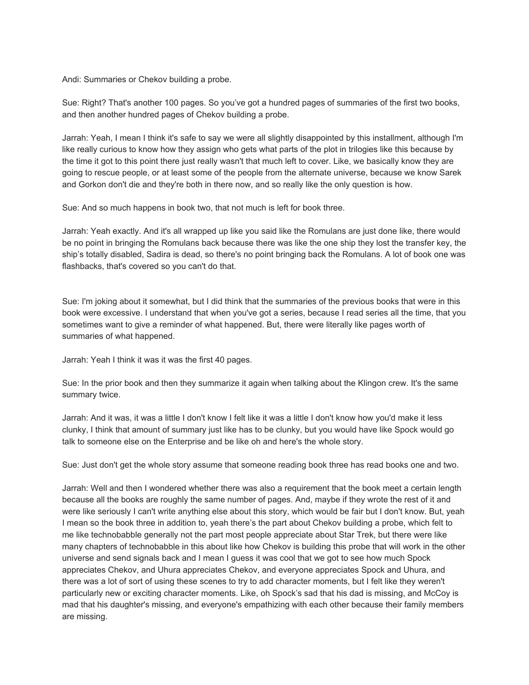Andi: Summaries or Chekov building a probe.

Sue: Right? That's another 100 pages. So you've got a hundred pages of summaries of the first two books, and then another hundred pages of Chekov building a probe.

Jarrah: Yeah, I mean I think it's safe to say we were all slightly disappointed by this installment, although I'm like really curious to know how they assign who gets what parts of the plot in trilogies like this because by the time it got to this point there just really wasn't that much left to cover. Like, we basically know they are going to rescue people, or at least some of the people from the alternate universe, because we know Sarek and Gorkon don't die and they're both in there now, and so really like the only question is how.

Sue: And so much happens in book two, that not much is left for book three.

Jarrah: Yeah exactly. And it's all wrapped up like you said like the Romulans are just done like, there would be no point in bringing the Romulans back because there was like the one ship they lost the transfer key, the ship's totally disabled, Sadira is dead, so there's no point bringing back the Romulans. A lot of book one was flashbacks, that's covered so you can't do that.

Sue: I'm joking about it somewhat, but I did think that the summaries of the previous books that were in this book were excessive. I understand that when you've got a series, because I read series all the time, that you sometimes want to give a reminder of what happened. But, there were literally like pages worth of summaries of what happened.

Jarrah: Yeah I think it was it was the first 40 pages.

Sue: In the prior book and then they summarize it again when talking about the Klingon crew. It's the same summary twice.

Jarrah: And it was, it was a little I don't know I felt like it was a little I don't know how you'd make it less clunky, I think that amount of summary just like has to be clunky, but you would have like Spock would go talk to someone else on the Enterprise and be like oh and here's the whole story.

Sue: Just don't get the whole story assume that someone reading book three has read books one and two.

Jarrah: Well and then I wondered whether there was also a requirement that the book meet a certain length because all the books are roughly the same number of pages. And, maybe if they wrote the rest of it and were like seriously I can't write anything else about this story, which would be fair but I don't know. But, yeah I mean so the book three in addition to, yeah there's the part about Chekov building a probe, which felt to me like technobabble generally not the part most people appreciate about Star Trek, but there were like many chapters of technobabble in this about like how Chekov is building this probe that will work in the other universe and send signals back and I mean I guess it was cool that we got to see how much Spock appreciates Chekov, and Uhura appreciates Chekov, and everyone appreciates Spock and Uhura, and there was a lot of sort of using these scenes to try to add character moments, but I felt like they weren't particularly new or exciting character moments. Like, oh Spock's sad that his dad is missing, and McCoy is mad that his daughter's missing, and everyone's empathizing with each other because their family members are missing.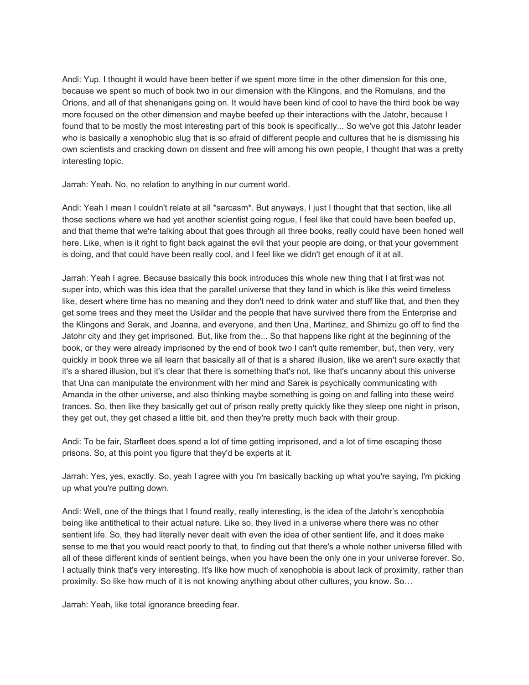Andi: Yup. I thought it would have been better if we spent more time in the other dimension for this one, because we spent so much of book two in our dimension with the Klingons, and the Romulans, and the Orions, and all of that shenanigans going on. It would have been kind of cool to have the third book be way more focused on the other dimension and maybe beefed up their interactions with the Jatohr, because I found that to be mostly the most interesting part of this book is specifically... So we've got this Jatohr leader who is basically a xenophobic slug that is so afraid of different people and cultures that he is dismissing his own scientists and cracking down on dissent and free will among his own people, I thought that was a pretty interesting topic.

Jarrah: Yeah. No, no relation to anything in our current world.

Andi: Yeah I mean I couldn't relate at all \*sarcasm\*. But anyways, I just I thought that that section, like all those sections where we had yet another scientist going rogue, I feel like that could have been beefed up, and that theme that we're talking about that goes through all three books, really could have been honed well here. Like, when is it right to fight back against the evil that your people are doing, or that your government is doing, and that could have been really cool, and I feel like we didn't get enough of it at all.

Jarrah: Yeah I agree. Because basically this book introduces this whole new thing that I at first was not super into, which was this idea that the parallel universe that they land in which is like this weird timeless like, desert where time has no meaning and they don't need to drink water and stuff like that, and then they get some trees and they meet the Usildar and the people that have survived there from the Enterprise and the Klingons and Serak, and Joanna, and everyone, and then Una, Martinez, and Shimizu go off to find the Jatohr city and they get imprisoned. But, like from the... So that happens like right at the beginning of the book, or they were already imprisoned by the end of book two I can't quite remember, but, then very, very quickly in book three we all learn that basically all of that is a shared illusion, like we aren't sure exactly that it's a shared illusion, but it's clear that there is something that's not, like that's uncanny about this universe that Una can manipulate the environment with her mind and Sarek is psychically communicating with Amanda in the other universe, and also thinking maybe something is going on and falling into these weird trances. So, then like they basically get out of prison really pretty quickly like they sleep one night in prison, they get out, they get chased a little bit, and then they're pretty much back with their group.

Andi: To be fair, Starfleet does spend a lot of time getting imprisoned, and a lot of time escaping those prisons. So, at this point you figure that they'd be experts at it.

Jarrah: Yes, yes, exactly. So, yeah I agree with you I'm basically backing up what you're saying, I'm picking up what you're putting down.

Andi: Well, one of the things that I found really, really interesting, is the idea of the Jatohr's xenophobia being like antithetical to their actual nature. Like so, they lived in a universe where there was no other sentient life. So, they had literally never dealt with even the idea of other sentient life, and it does make sense to me that you would react poorly to that, to finding out that there's a whole nother universe filled with all of these different kinds of sentient beings, when you have been the only one in your universe forever. So, I actually think that's very interesting. It's like how much of xenophobia is about lack of proximity, rather than proximity. So like how much of it is not knowing anything about other cultures, you know. So…

Jarrah: Yeah, like total ignorance breeding fear.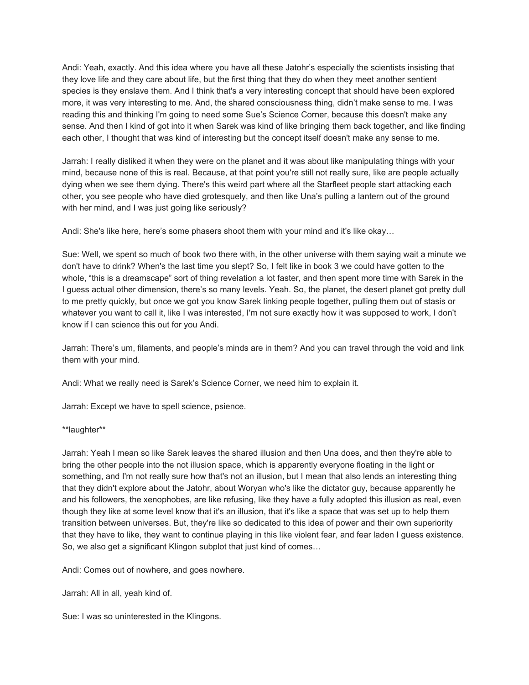Andi: Yeah, exactly. And this idea where you have all these Jatohr's especially the scientists insisting that they love life and they care about life, but the first thing that they do when they meet another sentient species is they enslave them. And I think that's a very interesting concept that should have been explored more, it was very interesting to me. And, the shared consciousness thing, didn't make sense to me. I was reading this and thinking I'm going to need some Sue's Science Corner, because this doesn't make any sense. And then I kind of got into it when Sarek was kind of like bringing them back together, and like finding each other, I thought that was kind of interesting but the concept itself doesn't make any sense to me.

Jarrah: I really disliked it when they were on the planet and it was about like manipulating things with your mind, because none of this is real. Because, at that point you're still not really sure, like are people actually dying when we see them dying. There's this weird part where all the Starfleet people start attacking each other, you see people who have died grotesquely, and then like Una's pulling a lantern out of the ground with her mind, and I was just going like seriously?

Andi: She's like here, here's some phasers shoot them with your mind and it's like okay…

Sue: Well, we spent so much of book two there with, in the other universe with them saying wait a minute we don't have to drink? When's the last time you slept? So, I felt like in book 3 we could have gotten to the whole, "this is a dreamscape" sort of thing revelation a lot faster, and then spent more time with Sarek in the I guess actual other dimension, there's so many levels. Yeah. So, the planet, the desert planet got pretty dull to me pretty quickly, but once we got you know Sarek linking people together, pulling them out of stasis or whatever you want to call it, like I was interested, I'm not sure exactly how it was supposed to work, I don't know if I can science this out for you Andi.

Jarrah: There's um, filaments, and people's minds are in them? And you can travel through the void and link them with your mind.

Andi: What we really need is Sarek's Science Corner, we need him to explain it.

Jarrah: Except we have to spell science, psience.

\*\*laughter\*\*

Jarrah: Yeah I mean so like Sarek leaves the shared illusion and then Una does, and then they're able to bring the other people into the not illusion space, which is apparently everyone floating in the light or something, and I'm not really sure how that's not an illusion, but I mean that also lends an interesting thing that they didn't explore about the Jatohr, about Woryan who's like the dictator guy, because apparently he and his followers, the xenophobes, are like refusing, like they have a fully adopted this illusion as real, even though they like at some level know that it's an illusion, that it's like a space that was set up to help them transition between universes. But, they're like so dedicated to this idea of power and their own superiority that they have to like, they want to continue playing in this like violent fear, and fear laden I guess existence. So, we also get a significant Klingon subplot that just kind of comes…

Andi: Comes out of nowhere, and goes nowhere.

Jarrah: All in all, yeah kind of.

Sue: I was so uninterested in the Klingons.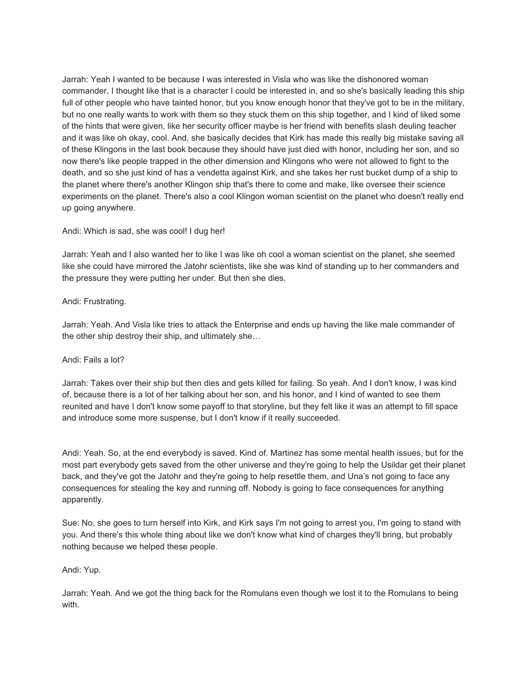Jarrah: Yeah I wanted to be because I was interested in Visla who was like the dishonored woman commander, I thought like that is a character I could be interested in, and so she's basically leading this ship full of other people who have tainted honor, but you know enough honor that they've got to be in the military, but no one really wants to work with them so they stuck them on this ship together, and I kind of liked some of the hints that were given, like her security officer maybe is her friend with benefits slash deuling teacher and it was like oh okay, cool. And, she basically decides that Kirk has made this really big mistake saving all of these Klingons in the last book because they should have just died with honor, including her son, and so now there's like people trapped in the other dimension and Klingons who were not allowed to fight to the death, and so she just kind of has a vendetta against Kirk, and she takes her rust bucket dump of a ship to the planet where there's another Klingon ship that's there to come and make, like oversee their science experiments on the planet. There's also a cool Klingon woman scientist on the planet who doesn't really end up going anywhere.

## Andi: Which is sad, she was cool! I dug her!

Jarrah: Yeah and I also wanted her to like I was like oh cool a woman scientist on the planet, she seemed like she could have mirrored the Jatohr scientists, like she was kind of standing up to her commanders and the pressure they were putting her under. But then she dies.

## Andi: Frustrating.

Jarrah: Yeah. And Visla like tries to attack the Enterprise and ends up having the like male commander of the other ship destroy their ship, and ultimately she…

### Andi: Fails a lot?

Jarrah: Takes over their ship but then dies and gets killed for failing. So yeah. And I don't know, I was kind of, because there is a lot of her talking about her son, and his honor, and I kind of wanted to see them reunited and have I don't know some payoff to that storyline, but they felt like it was an attempt to fill space and introduce some more suspense, but I don't know if it really succeeded.

Andi: Yeah. So, at the end everybody is saved. Kind of. Martinez has some mental health issues, but for the most part everybody gets saved from the other universe and they're going to help the Usildar get their planet back, and they've got the Jatohr and they're going to help resettle them, and Una's not going to face any consequences for stealing the key and running off. Nobody is going to face consequences for anything apparently.

Sue: No, she goes to turn herself into Kirk, and Kirk says I'm not going to arrest you, I'm going to stand with you. And there's this whole thing about like we don't know what kind of charges they'll bring, but probably nothing because we helped these people.

### Andi: Yup.

Jarrah: Yeah. And we got the thing back for the Romulans even though we lost it to the Romulans to being with.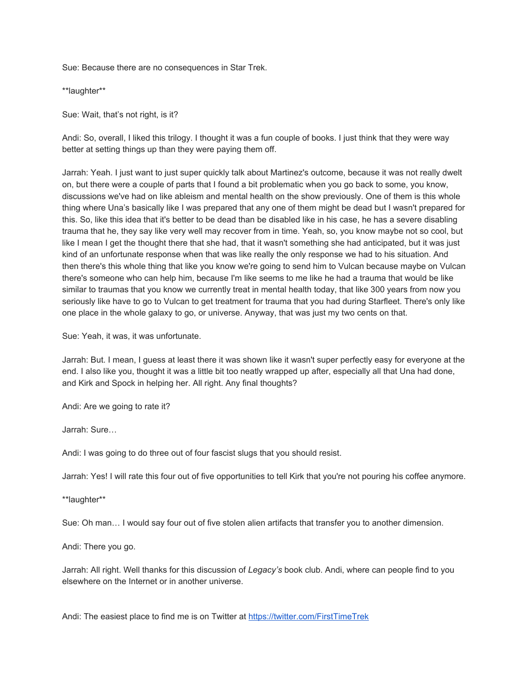Sue: Because there are no consequences in Star Trek.

\*\*laughter\*\*

Sue: Wait, that's not right, is it?

Andi: So, overall, I liked this trilogy. I thought it was a fun couple of books. I just think that they were way better at setting things up than they were paying them off.

Jarrah: Yeah. I just want to just super quickly talk about Martinez's outcome, because it was not really dwelt on, but there were a couple of parts that I found a bit problematic when you go back to some, you know, discussions we've had on like ableism and mental health on the show previously. One of them is this whole thing where Una's basically like I was prepared that any one of them might be dead but I wasn't prepared for this. So, like this idea that it's better to be dead than be disabled like in his case, he has a severe disabling trauma that he, they say like very well may recover from in time. Yeah, so, you know maybe not so cool, but like I mean I get the thought there that she had, that it wasn't something she had anticipated, but it was just kind of an unfortunate response when that was like really the only response we had to his situation. And then there's this whole thing that like you know we're going to send him to Vulcan because maybe on Vulcan there's someone who can help him, because I'm like seems to me like he had a trauma that would be like similar to traumas that you know we currently treat in mental health today, that like 300 years from now you seriously like have to go to Vulcan to get treatment for trauma that you had during Starfleet. There's only like one place in the whole galaxy to go, or universe. Anyway, that was just my two cents on that.

Sue: Yeah, it was, it was unfortunate.

Jarrah: But. I mean, I guess at least there it was shown like it wasn't super perfectly easy for everyone at the end. I also like you, thought it was a little bit too neatly wrapped up after, especially all that Una had done, and Kirk and Spock in helping her. All right. Any final thoughts?

Andi: Are we going to rate it?

Jarrah: Sure…

Andi: I was going to do three out of four fascist slugs that you should resist.

Jarrah: Yes! I will rate this four out of five opportunities to tell Kirk that you're not pouring his coffee anymore.

\*\*laughter\*\*

Sue: Oh man… I would say four out of five stolen alien artifacts that transfer you to another dimension.

Andi: There you go.

Jarrah: All right. Well thanks for this discussion of *Legacy's* book club. Andi, where can people find to you elsewhere on the Internet or in another universe.

Andi: The easiest place to find me is on Twitter at<https://twitter.com/FirstTimeTrek>